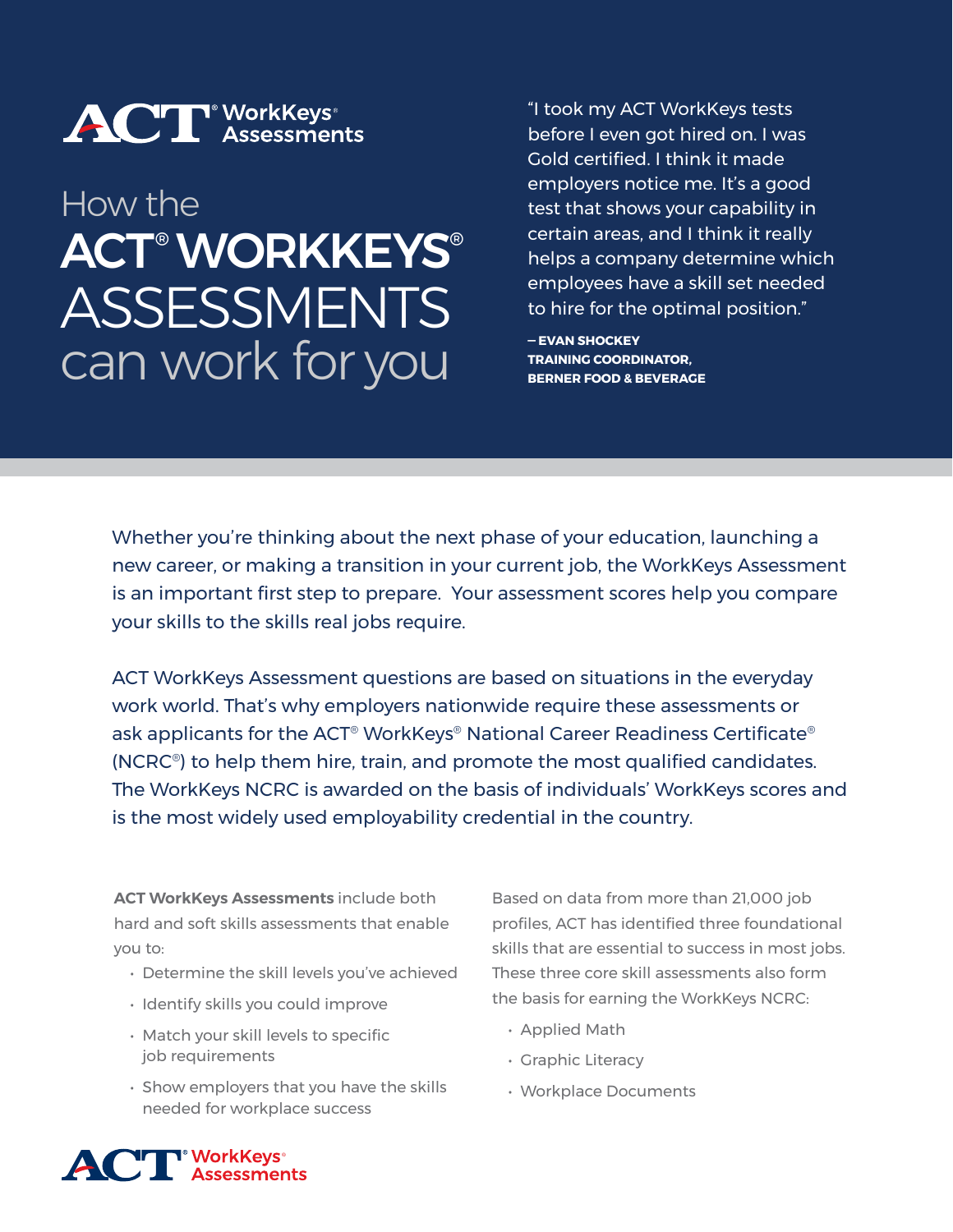

# How the ACT® WORKKEYS® ASSESSMENTS can work for you

"I took my ACT WorkKeys tests before I even got hired on. I was Gold certified. I think it made employers notice me. It's a good test that shows your capability in certain areas, and I think it really helps a company determine which employees have a skill set needed to hire for the optimal position."

**— EVAN SHOCKEY TRAINING COORDINATOR, BERNER FOOD & BEVERAGE**

Whether you're thinking about the next phase of your education, launching a new career, or making a transition in your current job, the WorkKeys Assessment is an important first step to prepare. Your assessment scores help you compare your skills to the skills real jobs require.

ACT WorkKeys Assessment questions are based on situations in the everyday work world. That's why employers nationwide require these assessments or ask applicants for the ACT® WorkKeys® National Career Readiness Certificate® (NCRC®) to help them hire, train, and promote the most qualified candidates. The WorkKeys NCRC is awarded on the basis of individuals' WorkKeys scores and is the most widely used employability credential in the country.

**ACT WorkKeys Assessments** include both hard and soft skills assessments that enable you to:

- Determine the skill levels you've achieved
- Identify skills you could improve
- Match your skill levels to specific job requirements
- Show employers that you have the skills needed for workplace success

Based on data from more than 21,000 job profiles, ACT has identified three foundational skills that are essential to success in most jobs. These three core skill assessments also form the basis for earning the WorkKeys NCRC:

- Applied Math
- Graphic Literacy
- Workplace Documents

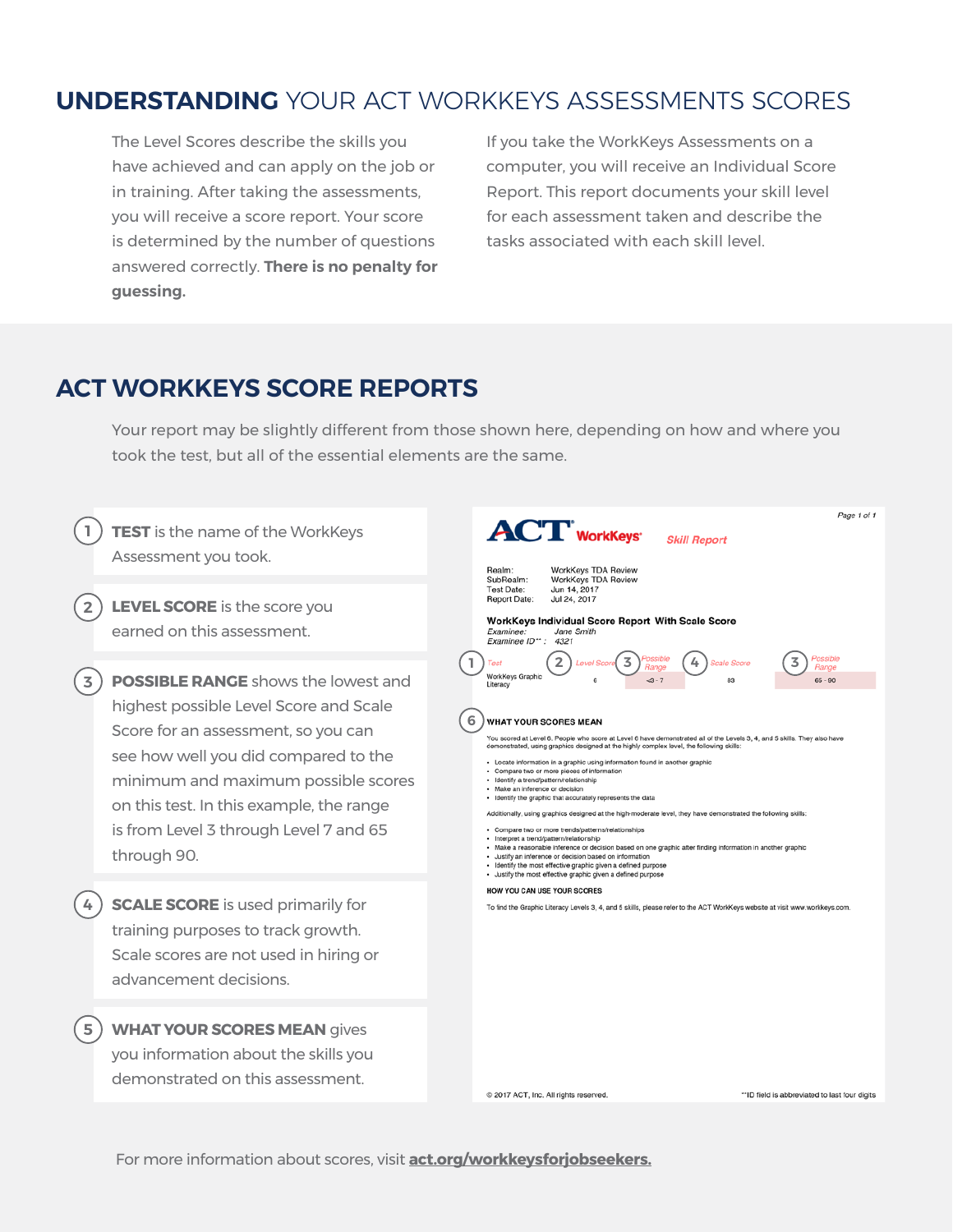# **UNDERSTANDING** YOUR ACT WORKKEYS ASSESSMENTS SCORES

The Level Scores describe the skills you have achieved and can apply on the job or in training. After taking the assessments, you will receive a score report. Your score is determined by the number of questions answered correctly. **There is no penalty for guessing.** 

If you take the WorkKeys Assessments on a computer, you will receive an Individual Score Report. This report documents your skill level for each assessment taken and describe the tasks associated with each skill level.

#### **ACT WORKKEYS SCORE REPORTS**

Your report may be slightly different from those shown here, depending on how and where you took the test, but all of the essential elements are the same.



For more information about scores, visit **[act.org/workkeysforjobseekers](http://act.org/workkeysforjobseekers).**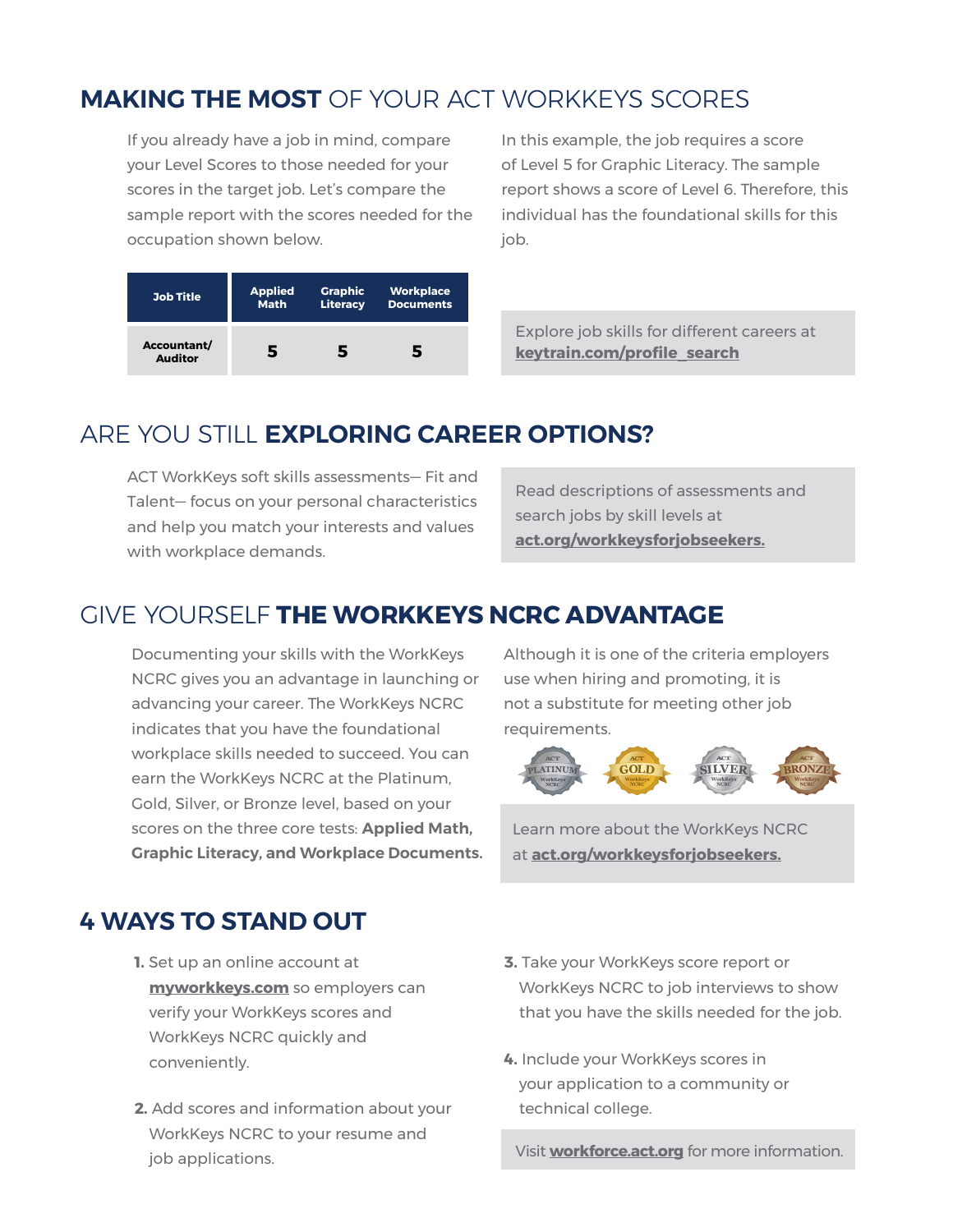# **MAKING THE MOST** OF YOUR ACT WORKKEYS SCORES

If you already have a job in mind, compare your Level Scores to those needed for your scores in the target job. Let's compare the sample report with the scores needed for the occupation shown below.

In this example, the job requires a score of Level 5 for Graphic Literacy. The sample report shows a score of Level 6. Therefore, this individual has the foundational skills for this job.

| <b>Job Title</b>              | <b>Applied</b> | <b>Graphic</b>  | <b>Workplace</b> |
|-------------------------------|----------------|-----------------|------------------|
|                               | <b>Math</b>    | <b>Literacy</b> | <b>Documents</b> |
| Accountant/<br><b>Auditor</b> | 5              | 5               | 5                |

Explore job skills for different careers at **keytrain.com/profile\_search**

## ARE YOU STILL **EXPLORING CAREER OPTIONS?**

ACT WorkKeys soft skills assessments— Fit and Talent— focus on your personal characteristics and help you match your interests and values with workplace demands.

Read descriptions of assessments and search jobs by skill levels at **act.org/workkeysforjobseekers.**

## GIVE YOURSELF **THE WORKKEYS NCRC ADVANTAGE**

Documenting your skills with the WorkKeys NCRC gives you an advantage in launching or advancing your career. The WorkKeys NCRC indicates that you have the foundational workplace skills needed to succeed. You can earn the WorkKeys NCRC at the Platinum, Gold, Silver, or Bronze level, based on your scores on the three core tests: **Applied Math, Graphic Literacy, and Workplace Documents.** Although it is one of the criteria employers use when hiring and promoting, it is not a substitute for meeting other job requirements.



Learn more about the WorkKeys NCRC at **act.org/workkeysforjobseekers.**

### **4 WAYS TO STAND OUT**

- **1.** Set up an online account at **myworkkeys.com** so employers can verify your WorkKeys scores and WorkKeys NCRC quickly and conveniently.
- **2.** Add scores and information about your WorkKeys NCRC to your resume and job applications.
- **3.** Take your WorkKeys score report or WorkKeys NCRC to job interviews to show that you have the skills needed for the job.
- **4.** Include your WorkKeys scores in your application to a community or technical college.

Visit **workforce.act.org** for more information.